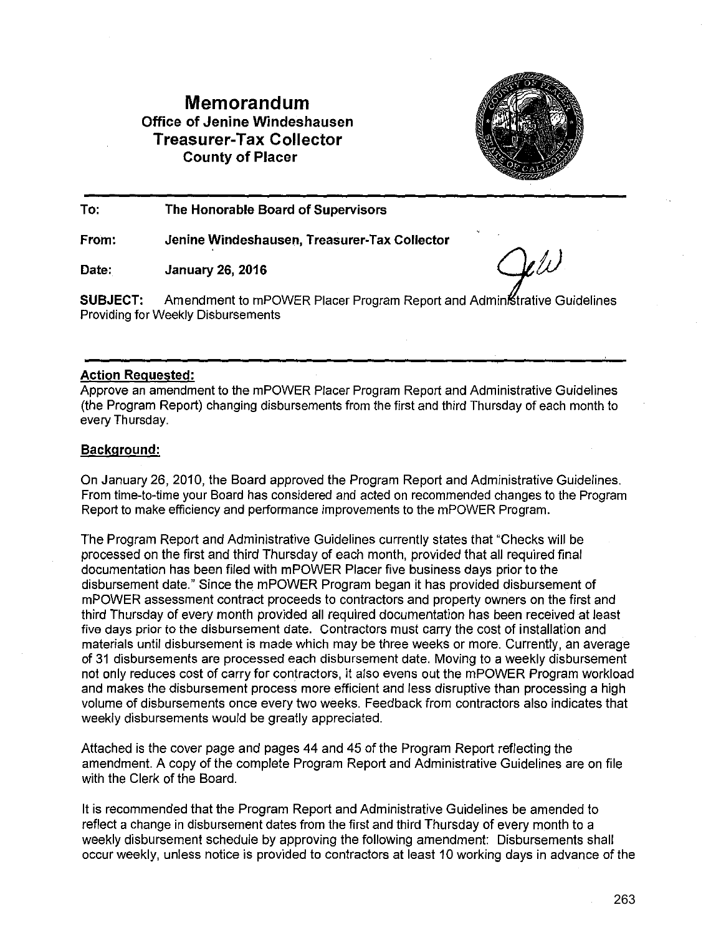# **Memorandum Office of Jenine Windeshausen Treasurer-Tax Collector County of Placer**



**To: The Honorable Board of Supervisors** 

**From: Jenine Windeshausen, Treasurer-Tax Collector** 

Date: January 26, 2016  $Q\ell\ell\ell$ 

**SUBJECT:** Amendment to mPOWER Placer Program Report and Administrative Guidelines Providing for Weekly Disbursements

### **Action Requested:**

Approve an amendment to the mPOWER Placer Program Report and Administrative Guidelines (the Program Report) changing disbursements from the first and third Thursday of each month to every Thursday.

## **Background:**

On January 26, 2010, the Board approved the Program Report and Administrative Guidelines. From time-to-time your Board has considered and acted on recommended changes to the Program Report to make efficiency and performance improvements to the mPOWER Program.

The Program Report and Administrative Guidelines currently states that "Checks will be processed on the first and third Thursday of each month, provided that all required final documentation has been filed with mPOWER Placer five business days prior to the disbursement date." Since the mPOWER Program began it has provided disbursement of mPOWER assessment contract proceeds to contractors and property owners on the first and third Thursday of every month provided all required documentation has been received at least five days prior to the disbursement date. Contractors must carry the cost of installation and materials until disbursement is made which may be three weeks or more. Currently, an average of 31 disbursements are processed each disbursement date. Moving to a weekly disbursement not only reduces cost of carry for contractors, it also evens out the mPOWER Program workload and makes the disbursement process more efficient and less disruptive than processing a high volume of disbursements once every two weeks. Feedback from contractors also indicates that weekly disbursements would be greatly appreciated.

Attached is the cover page and pages 44 and 45 of the Program Report reflecting the amendment. A copy of the complete Program Report and Administrative Guidelines are on file with the Clerk of the Board.

It is recommended that the Program Report and Administrative Guidelines be amended to reflect a change in disbursement dates from the first and third Thursday of every month to a weekly disbursement schedule by approving the following amendment: Disbursements shall occur weekly, unless notice is provided to contractors at least 10 working days in advance of the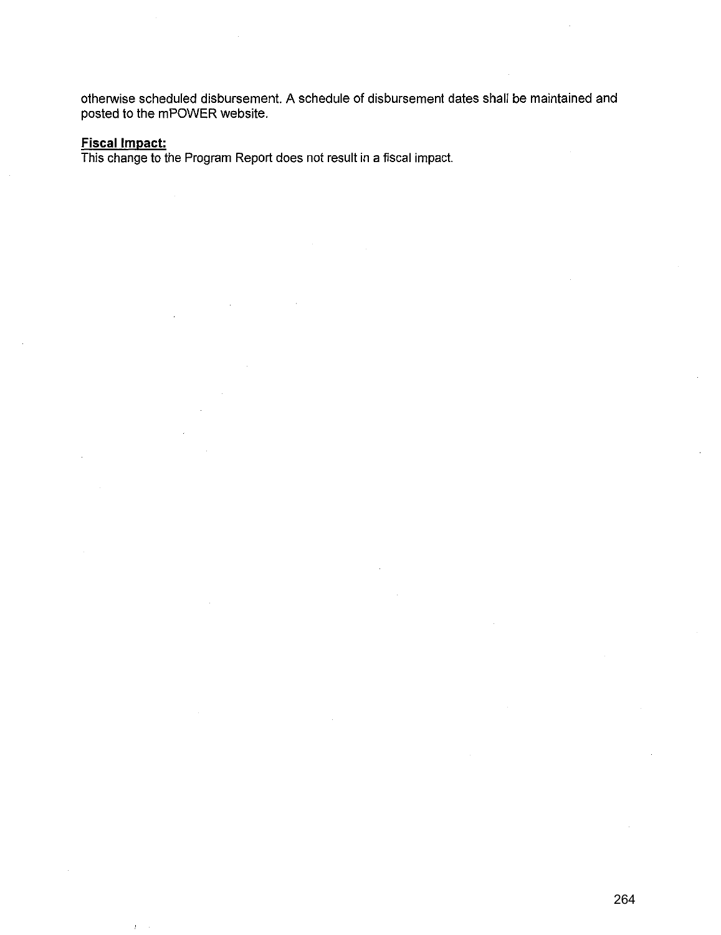otherwise scheduled disbursement. A schedule of disbursement dates shall be maintained and posted to the mPOWER website.

#### **Fiscal Impact:**

ÿ

This change to the Program Report does not result in a fiscal impact.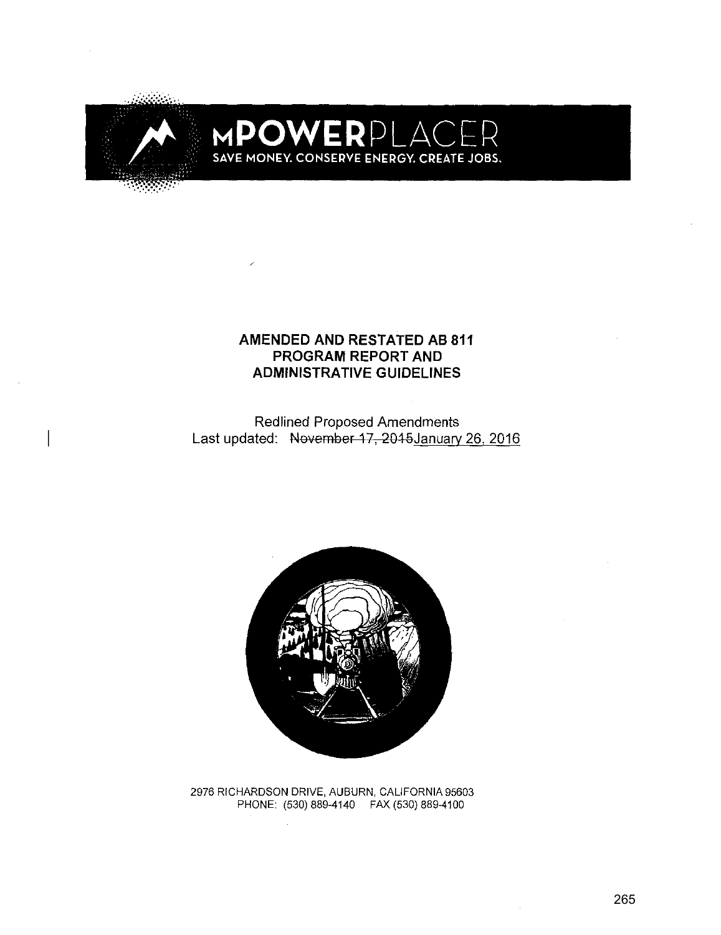

# MPOWERPLAC SAVE MONEY. CONSERVE ENERGY. CREATE JOBS.

## **AMENDED AND RESTATED AB 811 PROGRAM REPORT AND ADMINISTRATIVE GUIDELINES**

Redlined Proposed Amendments Last updated: November 17, 2015 January 26, 2016



2976 RICHARDSON DRIVE, AUBURN, CALIFORNIA 95603 PHONE: (530) 889-4140 FAX (530) 889-4100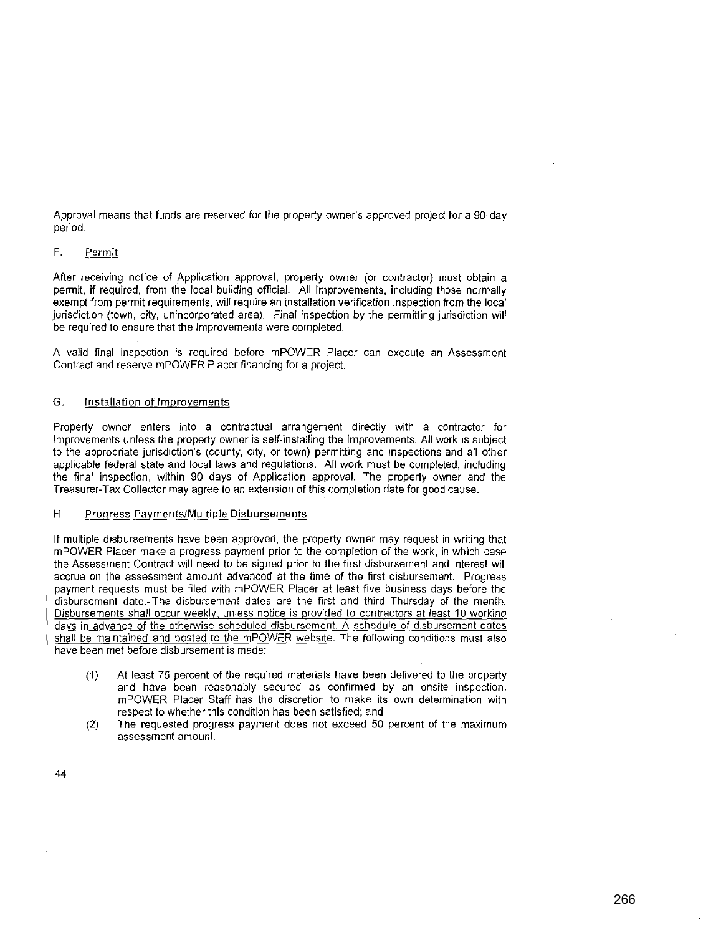Approval means that funds are reserved for the property owner's approved project for a 90-day period.

#### **F. Permit**

After receiving notice of Application approval, property owner (or contractor) must obtain a permit, if required, from the local building official. All Improvements, including those normally exempt from permit requirements, will require an installation verification inspection from the local jurisdiction (town, city, unincorporated area). Final inspection by the permitting jurisdiction will be required to ensure that the Improvements were completed.

A valid final inspection is required before mPOWER Placer can execute an Assessment Contract and reserve mPOWER Placer financing for a project.

#### **G. Installation of Improvements**

Property owner enters into a contractual arrangement directly with a contractor for Improvements unless the property owner is self-installing the Improvements. All work is subject to the appropriate jurisdiction's (county, city, or town) permitting and inspections and all other applicable federal state and local laws and regulations. All work must be completed, including the final inspection, within 90 days of Application approval. The property owner and the Treasurer-Tax Collector may agree to an extension of this completion date for good cause.

#### **H. Progress Payments/Multiple Disbursements**

If multiple disbursements have been approved, the property owner may request in writing that mPOWER Placer make a progress payment prior to the completion of the work, in which case the Assessment Contract will need to be signed prior to the first disbursement and interest will accrue on the assessment amount advanced at the time of the first disbursement. Progress payment requests must be filed with mPOWER Placer at least five business days before the disbursement date. The disbursement dates are the first and third Thursday of the month. Disbursements shall occur weekly, unless notice is provided to contractors at least 10 working **days in advance of the otherwise scheduled disbursement. A schedule of disbursement dates**  shall be maintained and posted to the mPOWER website. The following conditions must also have been met before disbursement is made:

- (1) At least 75 percent of the required materials have been delivered to the property **and have been reasonably secured as confirmed by an onsite inspection.**  mPOWER Placer Staff has the discretion to make its own determination with respect to whether this condition has been satisfied; and
- (2) The requested progress payment does not exceed 50 percent of the maximum **assessment amount.**

44